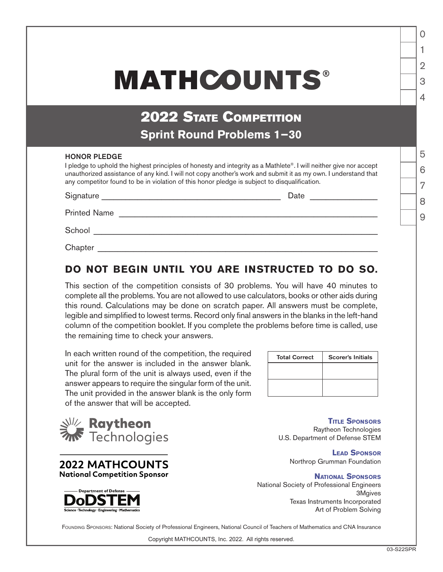## **MATHCOUNTS®**

## 2022 STATE COMPETITION **Sprint Round Problems 1−30**

## HONOR PLEDGE

I pledge to uphold the highest principles of honesty and integrity as a Mathlete®. I will neither give nor accept unauthorized assistance of any kind. I will not copy another's work and submit it as my own. I understand that any competitor found to be in violation of this honor pledge is subject to disqualification.

| Signature           | Date |  |
|---------------------|------|--|
| <b>Printed Name</b> |      |  |
| School              |      |  |
| Chapter             |      |  |

## **DO NOT BEGIN UNTIL YOU ARE INSTRUCTED TO DO SO.**

This section of the competition consists of 30 problems. You will have 40 minutes to complete all the problems. You are not allowed to use calculators, books or other aids during this round. Calculations may be done on scratch paper. All answers must be complete, legible and simplified to lowest terms. Record only final answers in the blanks in the left-hand column of the competition booklet. If you complete the problems before time is called, use the remaining time to check your answers.

In each written round of the competition, the required unit for the answer is included in the answer blank. The plural form of the unit is always used, even if the answer appears to require the singular form of the unit. The unit provided in the answer blank is the only form of the answer that will be accepted.

| <b>Total Correct</b> | <b>Scorer's Initials</b> |
|----------------------|--------------------------|
|                      |                          |
|                      |                          |
|                      |                          |

**XIII/ Raytheon**<br>**XIX** Technologies





**Title Sponsors** Raytheon Technologies U.S. Department of Defense STEM

> **Lead Sponsor** Northrop Grumman Foundation

> > **National Sponsors**

National Society of Professional Engineers 3Mgives Texas Instruments Incorporated Art of Problem Solving

FOUNDING SPONSORS: National Society of Professional Engineers, National Council of Teachers of Mathematics and CNA Insurance

Copyright MATHCOUNTS, Inc. 2022. All rights reserved.

1

 $\Omega$ 

2

3

 $\Delta$ 

5

6

7

8

 $\overline{Q}$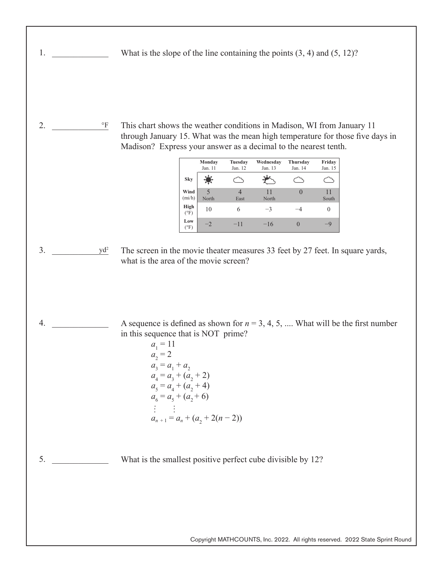What is the slope of the line containing the points (3, 4) and (5, 12)?

2. <u>F</u> This chart shows the weather conditions in Madison, WI from January 11 through January 15. What was the mean high temperature for those five days in Madison? Express your answer as a decimal to the nearest tenth.  $^{\circ}\mathrm{F}$ 

|                       | Monday<br>Jan. 11                 | <b>Tuesday</b><br>Jan. 12 | Wednesday<br>Jan. 13 | Thursday<br>Jan. 14 | Friday<br>Jan. 15 |
|-----------------------|-----------------------------------|---------------------------|----------------------|---------------------|-------------------|
| Sky                   |                                   |                           |                      |                     |                   |
| Wind<br>(min/h)       | $\overline{\mathcal{L}}$<br>North | East                      | 11<br>North          | $\mathcal{O}$       | 11<br>South       |
| High<br>$(^{\circ}F)$ | 10                                |                           | $-3$                 | -4                  |                   |
| Low<br>$(^{\circ}F)$  | $-2$                              | $-11$                     | $-16$                |                     | -9                |

3. \_\_\_\_\_\_\_\_\_\_\_\_\_ yd2

 $4.$ 

1.  $\blacksquare$ 

- The screen in the movie theater measures 33 feet by 27 feet. In square yards, what is the area of the movie screen?
- A sequence is defined as shown for  $n = 3, 4, 5, ...$  What will be the first number in this sequence that is NOT prime?

 $a_1 = 11$  $a_2 = 2$  $a_3 = a_1 + a_2$  $a_4 = a_3 + (a_2 + 2)$  $a_5 = a_4 + (a_2 + 4)$  $a_6 = a_5 + (a_2 + 6)$  $\mathbb{P}^1 \times \mathbb{P}^1$  $a_{n+1} = a_n + (a_2 + 2(n-2))$ 

 $5.$ What is the smallest positive perfect cube divisible by 12?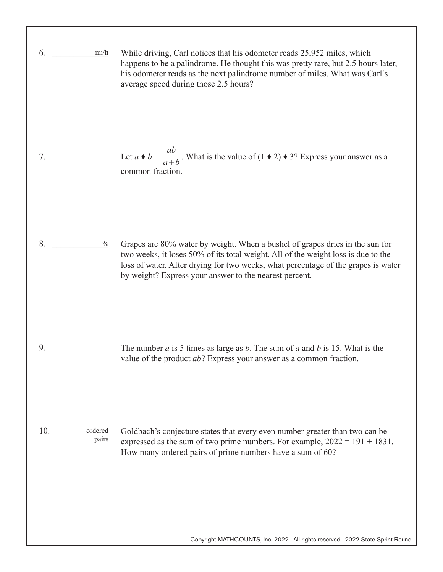| mi/h<br>6.              | While driving, Carl notices that his odometer reads 25,952 miles, which<br>happens to be a palindrome. He thought this was pretty rare, but 2.5 hours later,<br>his odometer reads as the next palindrome number of miles. What was Carl's<br>average speed during those 2.5 hours?                              |
|-------------------------|------------------------------------------------------------------------------------------------------------------------------------------------------------------------------------------------------------------------------------------------------------------------------------------------------------------|
| 7.                      | Let $a \bullet b = \frac{ab}{a+b}$ . What is the value of $(1 \bullet 2) \bullet 3$ ? Express your answer as a<br>common fraction.                                                                                                                                                                               |
| 8.<br>$\frac{0}{0}$     | Grapes are 80% water by weight. When a bushel of grapes dries in the sun for<br>two weeks, it loses 50% of its total weight. All of the weight loss is due to the<br>loss of water. After drying for two weeks, what percentage of the grapes is water<br>by weight? Express your answer to the nearest percent. |
| 9.                      | The number $a$ is 5 times as large as $b$ . The sum of $a$ and $b$ is 15. What is the<br>value of the product $ab$ ? Express your answer as a common fraction.                                                                                                                                                   |
| ordered<br>10.<br>pairs | Goldbach's conjecture states that every even number greater than two can be<br>expressed as the sum of two prime numbers. For example, $2022 = 191 + 1831$ .<br>How many ordered pairs of prime numbers have a sum of 60?                                                                                        |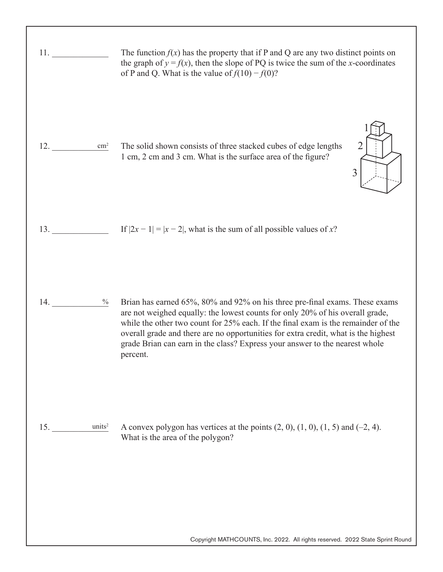| 11.                       | The function $f(x)$ has the property that if P and Q are any two distinct points on<br>the graph of $y = f(x)$ , then the slope of PQ is twice the sum of the x-coordinates<br>of P and Q. What is the value of $f(10) - f(0)$ ?                                                                                                                                                                                                   |
|---------------------------|------------------------------------------------------------------------------------------------------------------------------------------------------------------------------------------------------------------------------------------------------------------------------------------------------------------------------------------------------------------------------------------------------------------------------------|
| 12.<br>$\text{cm}^2$      | 2<br>The solid shown consists of three stacked cubes of edge lengths<br>1 cm, 2 cm and 3 cm. What is the surface area of the figure?<br>3                                                                                                                                                                                                                                                                                          |
| 13.                       | If $ 2x - 1  =  x - 2 $ , what is the sum of all possible values of x?                                                                                                                                                                                                                                                                                                                                                             |
| $\frac{0}{0}$<br>14.      | Brian has earned 65%, 80% and 92% on his three pre-final exams. These exams<br>are not weighed equally: the lowest counts for only 20% of his overall grade,<br>while the other two count for 25% each. If the final exam is the remainder of the<br>overall grade and there are no opportunities for extra credit, what is the highest<br>grade Brian can earn in the class? Express your answer to the nearest whole<br>percent. |
| units <sup>2</sup><br>15. | A convex polygon has vertices at the points $(2, 0)$ , $(1, 0)$ , $(1, 5)$ and $(-2, 4)$ .<br>What is the area of the polygon?                                                                                                                                                                                                                                                                                                     |
|                           | Copyright MATHCOUNTS, Inc. 2022. All rights reserved. 2022 State Sprint Round                                                                                                                                                                                                                                                                                                                                                      |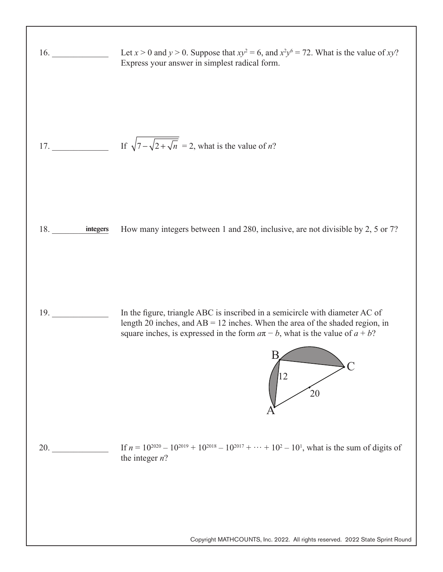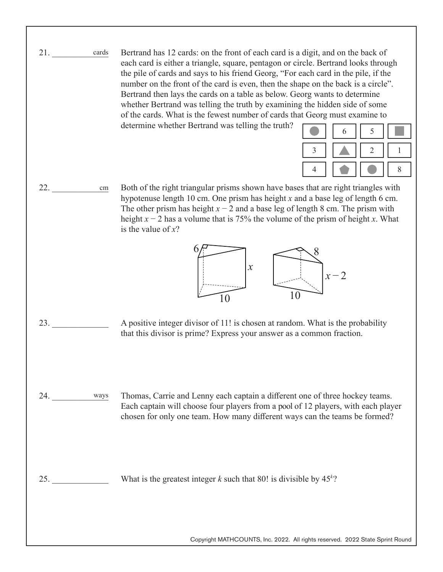21. \_\_\_\_\_\_\_\_\_\_\_\_\_ Bertrand has 12 cards: on the front of each card is a digit, and on the back of each card is either a triangle, square, pentagon or circle. Bertrand looks through the pile of cards and says to his friend Georg, "For each card in the pile, if the number on the front of the card is even, then the shape on the back is a circle". Bertrand then lays the cards on a table as below. Georg wants to determine whether Bertrand was telling the truth by examining the hidden side of some of the cards. What is the fewest number of cards that Georg must examine to determine whether Bertrand was telling the truth? cards

 $22.$ 

Both of the right triangular prisms shown have bases that are right triangles with hypotenuse length 10 cm. One prism has height *x* and a base leg of length 6 cm. The other prism has height  $x - 2$  and a base leg of length 8 cm. The prism with height *x* − 2 has a volume that is 75% the volume of the prism of height *x*. What is the value of *x*? cm



- 23. \_\_\_\_\_\_\_\_\_\_\_\_\_ A positive integer divisor of 11! is chosen at random. What is the probability that this divisor is prime? Express your answer as a common fraction.
- 24. \_\_\_\_\_\_\_\_\_\_\_\_\_ Thomas, Carrie and Lenny each captain a different one of three hockey teams. Each captain will choose four players from a pool of 12 players, with each player chosen for only one team. How many different ways can the teams be formed? ways

25. \_\_\_\_\_\_\_\_\_\_\_\_\_ What is the greatest integer *k* such that 80! is divisible by 45*<sup>k</sup>*?